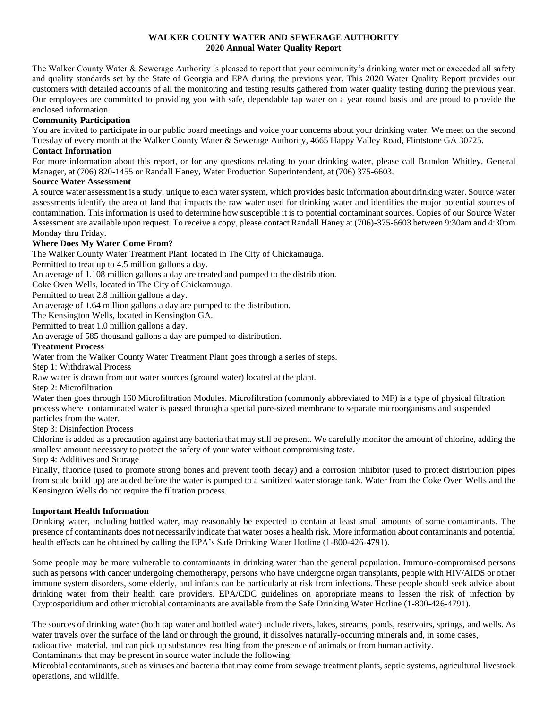# **WALKER COUNTY WATER AND SEWERAGE AUTHORITY 2020 Annual Water Quality Report**

The Walker County Water & Sewerage Authority is pleased to report that your community's drinking water met or exceeded all safety and quality standards set by the State of Georgia and EPA during the previous year. This 2020 Water Quality Report provides our customers with detailed accounts of all the monitoring and testing results gathered from water quality testing during the previous year. Our employees are committed to providing you with safe, dependable tap water on a year round basis and are proud to provide the enclosed information.

# **Community Participation**

You are invited to participate in our public board meetings and voice your concerns about your drinking water. We meet on the second Tuesday of every month at the Walker County Water & Sewerage Authority, 4665 Happy Valley Road, Flintstone GA 30725.

## **Contact Information**

For more information about this report, or for any questions relating to your drinking water, please call Brandon Whitley, General Manager, at (706) 820-1455 or Randall Haney, Water Production Superintendent, at (706) 375-6603.

## **Source Water Assessment**

A source water assessment is a study, unique to each water system, which provides basic information about drinking water. Source water assessments identify the area of land that impacts the raw water used for drinking water and identifies the major potential sources of contamination. This information is used to determine how susceptible it is to potential contaminant sources. Copies of our Source Water Assessment are available upon request. To receive a copy, please contact Randall Haney at (706)-375-6603 between 9:30am and 4:30pm Monday thru Friday.

# **Where Does My Water Come From?**

The Walker County Water Treatment Plant, located in The City of Chickamauga.

Permitted to treat up to 4.5 million gallons a day.

An average of 1.108 million gallons a day are treated and pumped to the distribution.

Coke Oven Wells, located in The City of Chickamauga.

Permitted to treat 2.8 million gallons a day.

An average of 1.64 million gallons a day are pumped to the distribution.

The Kensington Wells, located in Kensington GA.

Permitted to treat 1.0 million gallons a day.

An average of 585 thousand gallons a day are pumped to distribution.

## **Treatment Process**

Water from the Walker County Water Treatment Plant goes through a series of steps.

Step 1: Withdrawal Process

Raw water is drawn from our water sources (ground water) located at the plant.

Step 2: Microfiltration

Water then goes through 160 Microfiltration Modules. Microfiltration (commonly abbreviated to MF) is a type of physical [filtration](https://en.wikipedia.org/wiki/Filtration) process where contaminated water is passed through a special [pore-sized](https://en.wikipedia.org/wiki/Porosity) membrane to separat[e microorganisms](https://en.wikipedia.org/wiki/Microorganisms) and suspended

particles from the water. Step 3: Disinfection Process

Chlorine is added as a precaution against any bacteria that may still be present. We carefully monitor the amount of chlorine, adding the smallest amount necessary to protect the safety of your water without compromising taste.

Step 4: Additives and Storage

Finally, fluoride (used to promote strong bones and prevent tooth decay) and a corrosion inhibitor (used to protect distribution pipes from scale build up) are added before the water is pumped to a sanitized water storage tank. Water from the Coke Oven Wells and the Kensington Wells do not require the filtration process.

## **Important Health Information**

Drinking water, including bottled water, may reasonably be expected to contain at least small amounts of some contaminants. The presence of contaminants does not necessarily indicate that water poses a health risk. More information about contaminants and potential health effects can be obtained by calling the EPA's Safe Drinking Water Hotline (1-800-426-4791).

Some people may be more vulnerable to contaminants in drinking water than the general population. Immuno-compromised persons such as persons with cancer undergoing chemotherapy, persons who have undergone organ transplants, people with HIV/AIDS or other immune system disorders, some elderly, and infants can be particularly at risk from infections. These people should seek advice about drinking water from their health care providers. EPA/CDC guidelines on appropriate means to lessen the risk of infection by Cryptosporidium and other microbial contaminants are available from the Safe Drinking Water Hotline (1-800-426-4791).

The sources of drinking water (both tap water and bottled water) include rivers, lakes, streams, ponds, reservoirs, springs, and wells. As water travels over the surface of the land or through the ground, it dissolves naturally-occurring minerals and, in some cases, radioactive material, and can pick up substances resulting from the presence of animals or from human activity.

Contaminants that may be present in source water include the following:

Microbial contaminants, such as viruses and bacteria that may come from sewage treatment plants, septic systems, agricultural livestock operations, and wildlife.